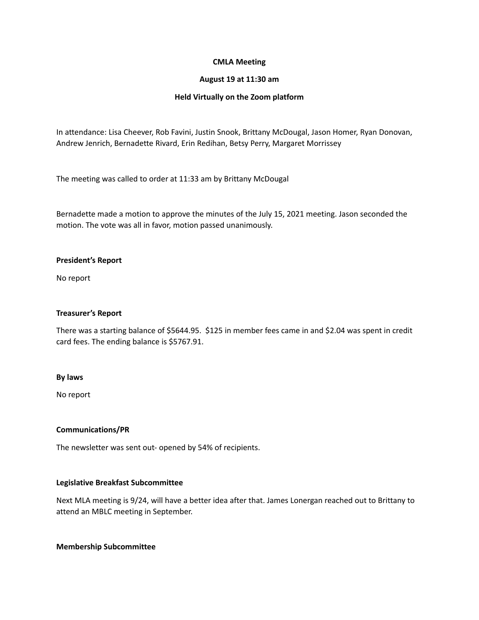## **CMLA Meeting**

#### **August 19 at 11:30 am**

## **Held Virtually on the Zoom platform**

In attendance: Lisa Cheever, Rob Favini, Justin Snook, Brittany McDougal, Jason Homer, Ryan Donovan, Andrew Jenrich, Bernadette Rivard, Erin Redihan, Betsy Perry, Margaret Morrissey

The meeting was called to order at 11:33 am by Brittany McDougal

Bernadette made a motion to approve the minutes of the July 15, 2021 meeting. Jason seconded the motion. The vote was all in favor, motion passed unanimously.

## **President's Report**

No report

### **Treasurer's Report**

There was a starting balance of \$5644.95. \$125 in member fees came in and \$2.04 was spent in credit card fees. The ending balance is \$5767.91.

#### **By laws**

No report

# **Communications/PR**

The newsletter was sent out- opened by 54% of recipients.

# **Legislative Breakfast Subcommittee**

Next MLA meeting is 9/24, will have a better idea after that. James Lonergan reached out to Brittany to attend an MBLC meeting in September.

#### **Membership Subcommittee**